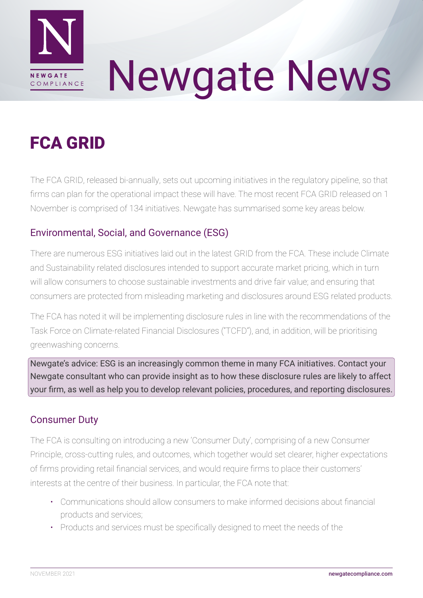

# Newgate News

# FCA GRID

The FCA GRID, released bi-annually, sets out upcoming initiatives in the regulatory pipeline, so that firms can plan for the operational impact these will have. The most recent FCA GRID released on 1 November is comprised of 134 initiatives. Newgate has summarised some key areas below.

# Environmental, Social, and Governance (ESG)

There are numerous ESG initiatives laid out in the latest GRID from the FCA. These include Climate and Sustainability related disclosures intended to support accurate market pricing, which in turn will allow consumers to choose sustainable investments and drive fair value; and ensuring that consumers are protected from misleading marketing and disclosures around ESG related products.

The FCA has noted it will be implementing disclosure rules in line with the recommendations of the Task Force on Climate-related Financial Disclosures ("TCFD"), and, in addition, will be prioritising greenwashing concerns.

Newgate's advice: ESG is an increasingly common theme in many FCA initiatives. Contact your Newgate consultant who can provide insight as to how these disclosure rules are likely to affect your firm, as well as help you to develop relevant policies, procedures, and reporting disclosures.

#### Consumer Duty

The FCA is consulting on introducing a new 'Consumer Duty', comprising of a new Consumer Principle, cross-cutting rules, and outcomes, which together would set clearer, higher expectations of firms providing retail financial services, and would require firms to place their customers' interests at the centre of their business. In particular, the FCA note that:

- Communications should allow consumers to make informed decisions about financial products and services;
- Products and services must be specifically designed to meet the needs of the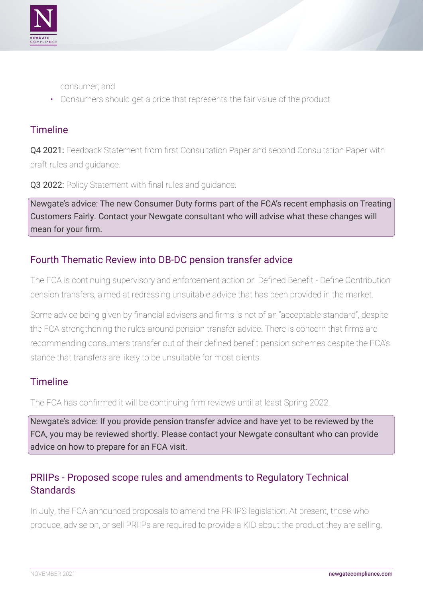

- consumer; and
- Consumers should get a price that represents the fair value of the product.

#### Timeline

Q4 2021: Feedback Statement from first Consultation Paper and second Consultation Paper with draft rules and guidance.

Q3 2022: Policy Statement with final rules and quidance.

Newgate's advice: The new Consumer Duty forms part of the FCA's recent emphasis on Treating Customers Fairly. Contact your Newgate consultant who will advise what these changes will mean for your firm.

#### Fourth Thematic Review into DB-DC pension transfer advice

The FCA is continuing supervisory and enforcement action on Defined Benefit - Define Contribution pension transfers, aimed at redressing unsuitable advice that has been provided in the market.

Some advice being given by financial advisers and firms is not of an "acceptable standard", despite the FCA strengthening the rules around pension transfer advice. There is concern that firms are recommending consumers transfer out of their defined benefit pension schemes despite the FCA's stance that transfers are likely to be unsuitable for most clients.

#### **Timeline**

The FCA has confirmed it will be continuing firm reviews until at least Spring 2022.

Newgate's advice: If you provide pension transfer advice and have yet to be reviewed by the FCA, you may be reviewed shortly. Please contact your Newgate consultant who can provide advice on how to prepare for an FCA visit.

## PRIIPs - Proposed scope rules and amendments to Regulatory Technical **Standards**

In July, the FCA announced proposals to amend the PRIIPS legislation. At present, those who produce, advise on, or sell PRIIPs are required to provide a KID about the product they are selling.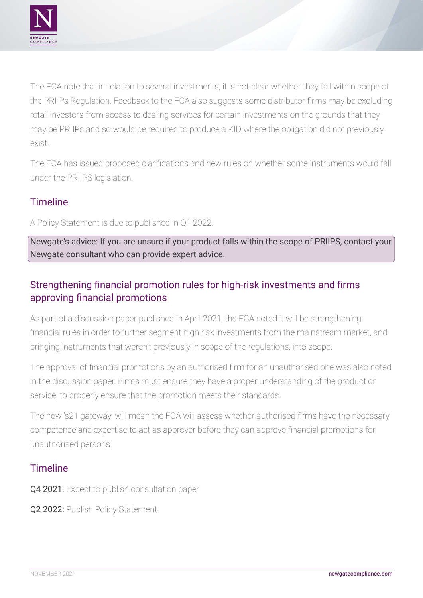

The FCA note that in relation to several investments, it is not clear whether they fall within scope of the PRIIPs Regulation. Feedback to the FCA also suggests some distributor firms may be excluding retail investors from access to dealing services for certain investments on the grounds that they may be PRIIPs and so would be required to produce a KID where the obligation did not previously exist.

The FCA has issued proposed clarifications and new rules on whether some instruments would fall under the PRIIPS legislation.

## **Timeline**

A Policy Statement is due to published in Q1 2022.

Newgate's advice: If you are unsure if your product falls within the scope of PRIIPS, contact your Newgate consultant who can provide expert advice.

# Strengthening financial promotion rules for high-risk investments and firms approving financial promotions

As part of a discussion paper published in April 2021, the FCA noted it will be strengthening financial rules in order to further segment high risk investments from the mainstream market, and bringing instruments that weren't previously in scope of the regulations, into scope.

The approval of financial promotions by an authorised firm for an unauthorised one was also noted in the discussion paper. Firms must ensure they have a proper understanding of the product or service, to properly ensure that the promotion meets their standards.

The new 's21 gateway' will mean the FCA will assess whether authorised firms have the necessary competence and expertise to act as approver before they can approve financial promotions for unauthorised persons.

#### Timeline

Q4 2021: Expect to publish consultation paper

Q2 2022: Publish Policy Statement.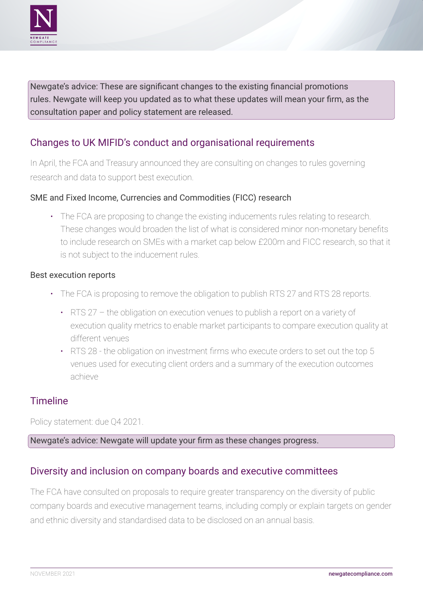

Newgate's advice: These are significant changes to the existing financial promotions rules. Newgate will keep you updated as to what these updates will mean your firm, as the consultation paper and policy statement are released.

## Changes to UK MIFID's conduct and organisational requirements

In April, the FCA and Treasury announced they are consulting on changes to rules governing research and data to support best execution.

#### SME and Fixed Income, Currencies and Commodities (FICC) research

• The FCA are proposing to change the existing inducements rules relating to research. These changes would broaden the list of what is considered minor non-monetary benefits to include research on SMEs with a market cap below £200m and FICC research, so that it is not subject to the inducement rules.

#### Best execution reports

- The FCA is proposing to remove the obligation to publish RTS 27 and RTS 28 reports.
	- RTS 27 the obligation on execution venues to publish a report on a variety of execution quality metrics to enable market participants to compare execution quality at different venues
	- RTS 28 the obligation on investment firms who execute orders to set out the top 5 venues used for executing client orders and a summary of the execution outcomes achieve

#### **Timeline**

Policy statement: due Q4 2021.

#### Newgate's advice: Newgate will update your firm as these changes progress.

#### Diversity and inclusion on company boards and executive committees

The FCA have consulted on proposals to require greater transparency on the diversity of public company boards and executive management teams, including comply or explain targets on gender and ethnic diversity and standardised data to be disclosed on an annual basis.